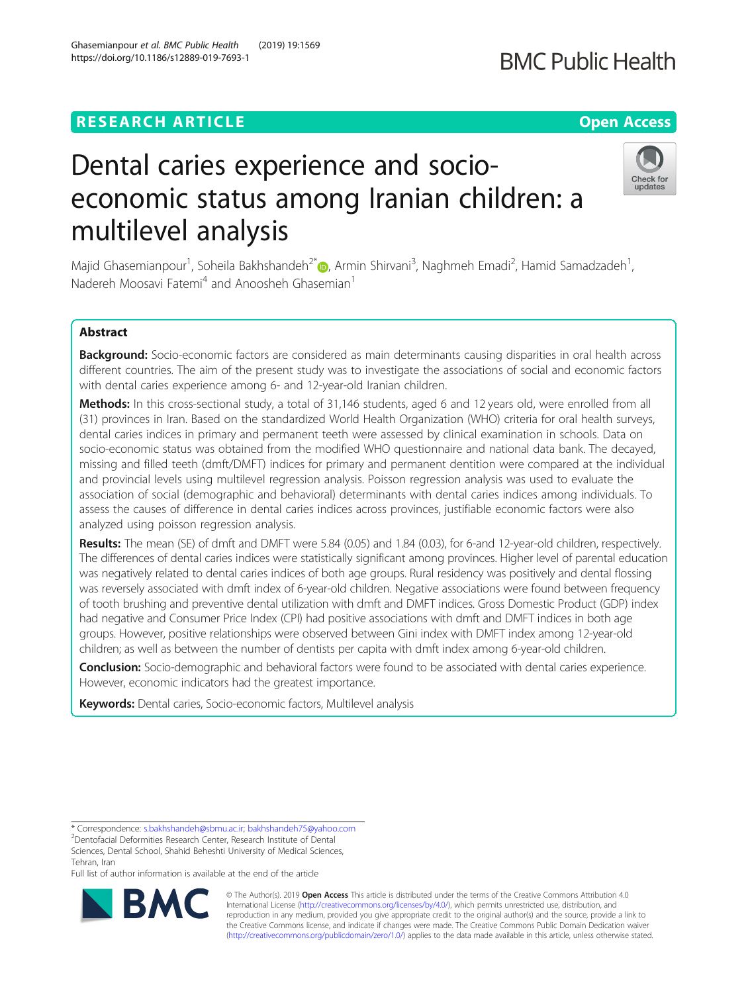# **RESEARCH ARTICLE Example 2014 12:30 The Contract of Contract ACCESS**

# Dental caries experience and socioeconomic status among Iranian children: a multilevel analysis

Majid Ghasemianpour<sup>1</sup>[,](http://orcid.org/0000-0003-0995-9368) Soheila Bakhshandeh<sup>2\*</sup>®, Armin Shirvani<sup>3</sup>, Naghmeh Emadi<sup>2</sup>, Hamid Samadzadeh<sup>1</sup> , Nadereh Moosavi Fatemi<sup>4</sup> and Anoosheh Ghasemian<sup>1</sup>

## Abstract

Background: Socio-economic factors are considered as main determinants causing disparities in oral health across different countries. The aim of the present study was to investigate the associations of social and economic factors with dental caries experience among 6- and 12-year-old Iranian children.

Methods: In this cross-sectional study, a total of 31,146 students, aged 6 and 12 years old, were enrolled from all (31) provinces in Iran. Based on the standardized World Health Organization (WHO) criteria for oral health surveys, dental caries indices in primary and permanent teeth were assessed by clinical examination in schools. Data on socio-economic status was obtained from the modified WHO questionnaire and national data bank. The decayed, missing and filled teeth (dmft/DMFT) indices for primary and permanent dentition were compared at the individual and provincial levels using multilevel regression analysis. Poisson regression analysis was used to evaluate the association of social (demographic and behavioral) determinants with dental caries indices among individuals. To assess the causes of difference in dental caries indices across provinces, justifiable economic factors were also analyzed using poisson regression analysis.

Results: The mean (SE) of dmft and DMFT were 5.84 (0.05) and 1.84 (0.03), for 6-and 12-year-old children, respectively. The differences of dental caries indices were statistically significant among provinces. Higher level of parental education was negatively related to dental caries indices of both age groups. Rural residency was positively and dental flossing was reversely associated with dmft index of 6-year-old children. Negative associations were found between frequency of tooth brushing and preventive dental utilization with dmft and DMFT indices. Gross Domestic Product (GDP) index had negative and Consumer Price Index (CPI) had positive associations with dmft and DMFT indices in both age groups. However, positive relationships were observed between Gini index with DMFT index among 12-year-old children; as well as between the number of dentists per capita with dmft index among 6-year-old children.

**Conclusion:** Socio-demographic and behavioral factors were found to be associated with dental caries experience. However, economic indicators had the greatest importance.

Keywords: Dental caries, Socio-economic factors, Multilevel analysis

 $2$ Dentofacial Deformities Research Center, Research Institute of Dental Sciences, Dental School, Shahid Beheshti University of Medical Sciences, Tehran, Iran

Full list of author information is available at the end of the article

© The Author(s). 2019 **Open Access** This article is distributed under the terms of the Creative Commons Attribution 4.0 International License [\(http://creativecommons.org/licenses/by/4.0/](http://creativecommons.org/licenses/by/4.0/)), which permits unrestricted use, distribution, and reproduction in any medium, provided you give appropriate credit to the original author(s) and the source, provide a link to the Creative Commons license, and indicate if changes were made. The Creative Commons Public Domain Dedication waiver [\(http://creativecommons.org/publicdomain/zero/1.0/](http://creativecommons.org/publicdomain/zero/1.0/)) applies to the data made available in this article, unless otherwise stated.





<sup>\*</sup> Correspondence: [s.bakhshandeh@sbmu.ac.ir;](mailto:s.bakhshandeh@sbmu.ac.ir) [bakhshandeh75@yahoo.com](mailto:bakhshandeh75@yahoo.com) <sup>2</sup>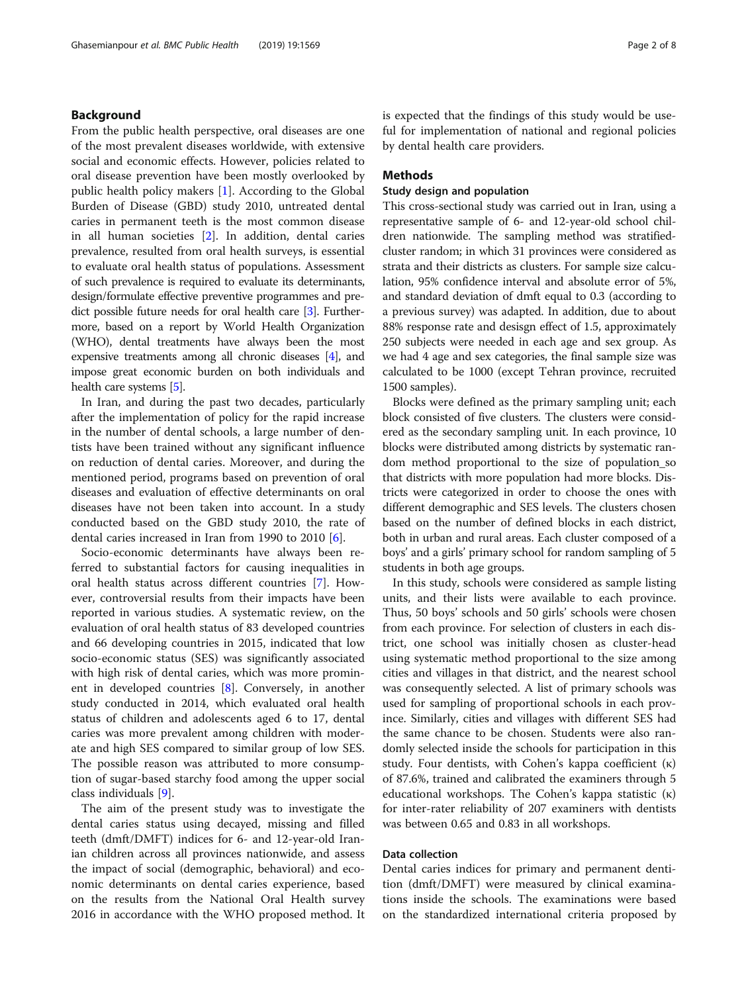#### Background

From the public health perspective, oral diseases are one of the most prevalent diseases worldwide, with extensive social and economic effects. However, policies related to oral disease prevention have been mostly overlooked by public health policy makers [[1\]](#page-6-0). According to the Global Burden of Disease (GBD) study 2010, untreated dental caries in permanent teeth is the most common disease in all human societies [[2\]](#page-6-0). In addition, dental caries prevalence, resulted from oral health surveys, is essential to evaluate oral health status of populations. Assessment of such prevalence is required to evaluate its determinants, design/formulate effective preventive programmes and predict possible future needs for oral health care [[3](#page-6-0)]. Furthermore, based on a report by World Health Organization (WHO), dental treatments have always been the most expensive treatments among all chronic diseases [[4\]](#page-6-0), and impose great economic burden on both individuals and health care systems [\[5\]](#page-6-0).

In Iran, and during the past two decades, particularly after the implementation of policy for the rapid increase in the number of dental schools, a large number of dentists have been trained without any significant influence on reduction of dental caries. Moreover, and during the mentioned period, programs based on prevention of oral diseases and evaluation of effective determinants on oral diseases have not been taken into account. In a study conducted based on the GBD study 2010, the rate of dental caries increased in Iran from 1990 to 2010 [\[6\]](#page-6-0).

Socio-economic determinants have always been referred to substantial factors for causing inequalities in oral health status across different countries [\[7](#page-6-0)]. However, controversial results from their impacts have been reported in various studies. A systematic review, on the evaluation of oral health status of 83 developed countries and 66 developing countries in 2015, indicated that low socio-economic status (SES) was significantly associated with high risk of dental caries, which was more prominent in developed countries [\[8](#page-6-0)]. Conversely, in another study conducted in 2014, which evaluated oral health status of children and adolescents aged 6 to 17, dental caries was more prevalent among children with moderate and high SES compared to similar group of low SES. The possible reason was attributed to more consumption of sugar-based starchy food among the upper social class individuals [[9\]](#page-6-0).

The aim of the present study was to investigate the dental caries status using decayed, missing and filled teeth (dmft/DMFT) indices for 6- and 12-year-old Iranian children across all provinces nationwide, and assess the impact of social (demographic, behavioral) and economic determinants on dental caries experience, based on the results from the National Oral Health survey 2016 in accordance with the WHO proposed method. It is expected that the findings of this study would be useful for implementation of national and regional policies by dental health care providers.

#### Methods

#### Study design and population

This cross-sectional study was carried out in Iran, using a representative sample of 6- and 12-year-old school children nationwide. The sampling method was stratifiedcluster random; in which 31 provinces were considered as strata and their districts as clusters. For sample size calculation, 95% confidence interval and absolute error of 5%, and standard deviation of dmft equal to 0.3 (according to a previous survey) was adapted. In addition, due to about 88% response rate and desisgn effect of 1.5, approximately 250 subjects were needed in each age and sex group. As we had 4 age and sex categories, the final sample size was calculated to be 1000 (except Tehran province, recruited 1500 samples).

Blocks were defined as the primary sampling unit; each block consisted of five clusters. The clusters were considered as the secondary sampling unit. In each province, 10 blocks were distributed among districts by systematic random method proportional to the size of population\_so that districts with more population had more blocks. Districts were categorized in order to choose the ones with different demographic and SES levels. The clusters chosen based on the number of defined blocks in each district, both in urban and rural areas. Each cluster composed of a boys' and a girls' primary school for random sampling of 5 students in both age groups.

In this study, schools were considered as sample listing units, and their lists were available to each province. Thus, 50 boys' schools and 50 girls' schools were chosen from each province. For selection of clusters in each district, one school was initially chosen as cluster-head using systematic method proportional to the size among cities and villages in that district, and the nearest school was consequently selected. A list of primary schools was used for sampling of proportional schools in each province. Similarly, cities and villages with different SES had the same chance to be chosen. Students were also randomly selected inside the schools for participation in this study. Four dentists, with Cohen's kappa coefficient (κ) of 87.6%, trained and calibrated the examiners through 5 educational workshops. The Cohen's kappa statistic (κ) for inter-rater reliability of 207 examiners with dentists was between 0.65 and 0.83 in all workshops.

#### Data collection

Dental caries indices for primary and permanent dentition (dmft/DMFT) were measured by clinical examinations inside the schools. The examinations were based on the standardized international criteria proposed by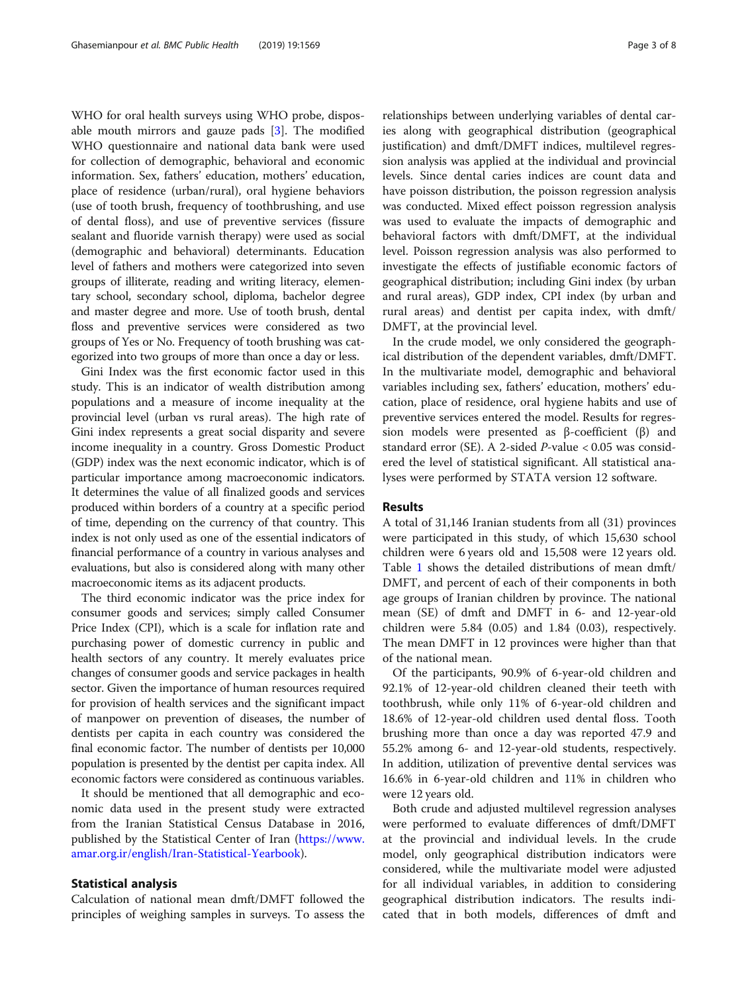WHO for oral health surveys using WHO probe, disposable mouth mirrors and gauze pads [[3\]](#page-6-0). The modified WHO questionnaire and national data bank were used for collection of demographic, behavioral and economic information. Sex, fathers' education, mothers' education, place of residence (urban/rural), oral hygiene behaviors (use of tooth brush, frequency of toothbrushing, and use of dental floss), and use of preventive services (fissure sealant and fluoride varnish therapy) were used as social (demographic and behavioral) determinants. Education level of fathers and mothers were categorized into seven groups of illiterate, reading and writing literacy, elementary school, secondary school, diploma, bachelor degree and master degree and more. Use of tooth brush, dental floss and preventive services were considered as two groups of Yes or No. Frequency of tooth brushing was categorized into two groups of more than once a day or less.

Gini Index was the first economic factor used in this study. This is an indicator of wealth distribution among populations and a measure of income inequality at the provincial level (urban vs rural areas). The high rate of Gini index represents a great social disparity and severe income inequality in a country. Gross Domestic Product (GDP) index was the next economic indicator, which is of particular importance among macroeconomic indicators. It determines the value of all finalized goods and services produced within borders of a country at a specific period of time, depending on the currency of that country. This index is not only used as one of the essential indicators of financial performance of a country in various analyses and evaluations, but also is considered along with many other macroeconomic items as its adjacent products.

The third economic indicator was the price index for consumer goods and services; simply called Consumer Price Index (CPI), which is a scale for inflation rate and purchasing power of domestic currency in public and health sectors of any country. It merely evaluates price changes of consumer goods and service packages in health sector. Given the importance of human resources required for provision of health services and the significant impact of manpower on prevention of diseases, the number of dentists per capita in each country was considered the final economic factor. The number of dentists per 10,000 population is presented by the dentist per capita index. All economic factors were considered as continuous variables.

It should be mentioned that all demographic and economic data used in the present study were extracted from the Iranian Statistical Census Database in 2016, published by the Statistical Center of Iran ([https://www.](https://www.amar.org.ir/english/Iran-Statistical-Yearbook) [amar.org.ir/english/Iran-Statistical-Yearbook](https://www.amar.org.ir/english/Iran-Statistical-Yearbook)).

#### Statistical analysis

Calculation of national mean dmft/DMFT followed the principles of weighing samples in surveys. To assess the

relationships between underlying variables of dental caries along with geographical distribution (geographical justification) and dmft/DMFT indices, multilevel regression analysis was applied at the individual and provincial levels. Since dental caries indices are count data and have poisson distribution, the poisson regression analysis was conducted. Mixed effect poisson regression analysis was used to evaluate the impacts of demographic and behavioral factors with dmft/DMFT, at the individual level. Poisson regression analysis was also performed to investigate the effects of justifiable economic factors of geographical distribution; including Gini index (by urban and rural areas), GDP index, CPI index (by urban and rural areas) and dentist per capita index, with dmft/ DMFT, at the provincial level.

In the crude model, we only considered the geographical distribution of the dependent variables, dmft/DMFT. In the multivariate model, demographic and behavioral variables including sex, fathers' education, mothers' education, place of residence, oral hygiene habits and use of preventive services entered the model. Results for regression models were presented as β-coefficient (β) and standard error (SE). A 2-sided P-value < 0.05 was considered the level of statistical significant. All statistical analyses were performed by STATA version 12 software.

#### Results

A total of 31,146 Iranian students from all (31) provinces were participated in this study, of which 15,630 school children were 6 years old and 15,508 were 12 years old. Table [1](#page-3-0) shows the detailed distributions of mean dmft/ DMFT, and percent of each of their components in both age groups of Iranian children by province. The national mean (SE) of dmft and DMFT in 6- and 12-year-old children were 5.84 (0.05) and 1.84 (0.03), respectively. The mean DMFT in 12 provinces were higher than that of the national mean.

Of the participants, 90.9% of 6-year-old children and 92.1% of 12-year-old children cleaned their teeth with toothbrush, while only 11% of 6-year-old children and 18.6% of 12-year-old children used dental floss. Tooth brushing more than once a day was reported 47.9 and 55.2% among 6- and 12-year-old students, respectively. In addition, utilization of preventive dental services was 16.6% in 6-year-old children and 11% in children who were 12 years old.

Both crude and adjusted multilevel regression analyses were performed to evaluate differences of dmft/DMFT at the provincial and individual levels. In the crude model, only geographical distribution indicators were considered, while the multivariate model were adjusted for all individual variables, in addition to considering geographical distribution indicators. The results indicated that in both models, differences of dmft and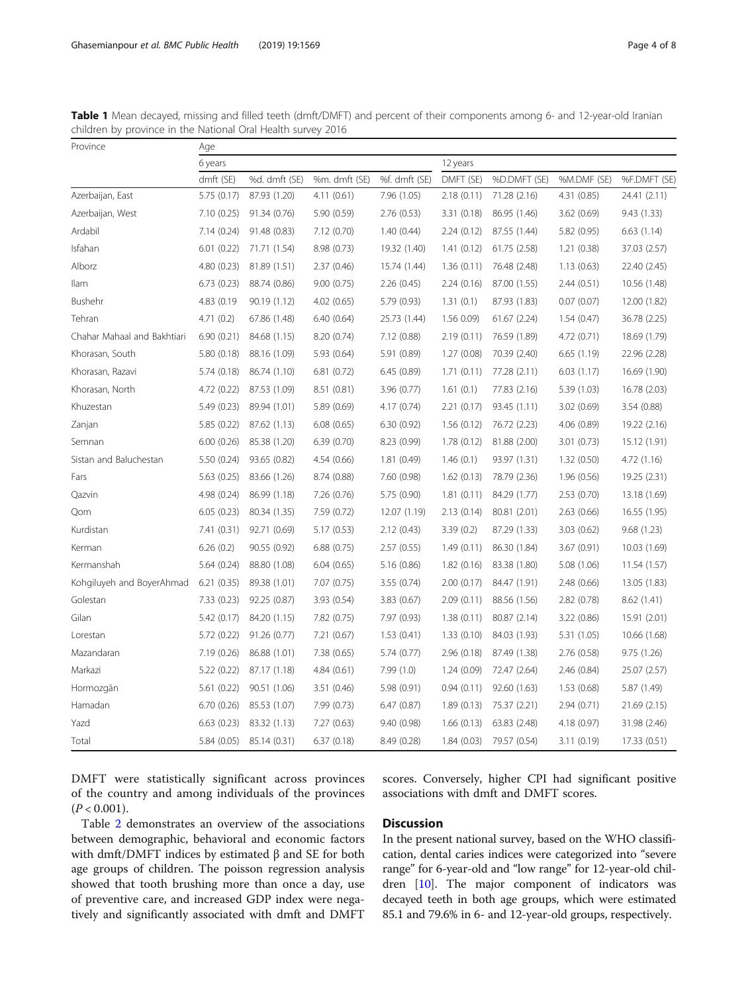| Province                    | Age         |               |               |               |             |              |             |              |  |
|-----------------------------|-------------|---------------|---------------|---------------|-------------|--------------|-------------|--------------|--|
|                             | 6 years     |               |               |               | 12 years    |              |             |              |  |
|                             | dmft (SE)   | %d. dmft (SE) | %m. dmft (SE) | %f. dmft (SE) | DMFT (SE)   | %D.DMFT (SE) | %M.DMF (SE) | %F.DMFT (SE) |  |
| Azerbaijan, East            | 5.75 (0.17) | 87.93 (1.20)  | 4.11 (0.61)   | 7.96 (1.05)   | 2.18(0.11)  | 71.28 (2.16) | 4.31 (0.85) | 24.41 (2.11) |  |
| Azerbaijan, West            | 7.10(0.25)  | 91.34 (0.76)  | 5.90 (0.59)   | 2.76(0.53)    | 3.31 (0.18) | 86.95 (1.46) | 3.62(0.69)  | 9.43 (1.33)  |  |
| Ardabil                     | 7.14(0.24)  | 91.48 (0.83)  | 7.12 (0.70)   | 1.40(0.44)    | 2.24(0.12)  | 87.55 (1.44) | 5.82 (0.95) | 6.63(1.14)   |  |
| Isfahan                     | 6.01(0.22)  | 71.71 (1.54)  | 8.98 (0.73)   | 19.32 (1.40)  | 1.41(0.12)  | 61.75 (2.58) | 1.21(0.38)  | 37.03 (2.57) |  |
| Alborz                      | 4.80 (0.23) | 81.89 (1.51)  | 2.37 (0.46)   | 15.74 (1.44)  | 1.36(0.11)  | 76.48 (2.48) | 1.13(0.63)  | 22.40 (2.45) |  |
| Ilam                        | 6.73(0.23)  | 88.74 (0.86)  | 9.00(0.75)    | 2.26(0.45)    | 2.24(0.16)  | 87.00 (1.55) | 2.44(0.51)  | 10.56 (1.48) |  |
| Bushehr                     | 4.83 (0.19  | 90.19 (1.12)  | 4.02(0.65)    | 5.79(0.93)    | 1.31(0.1)   | 87.93 (1.83) | 0.07(0.07)  | 12.00 (1.82) |  |
| Tehran                      | 4.71(0.2)   | 67.86 (1.48)  | 6.40(0.64)    | 25.73 (1.44)  | 1.56 0.09)  | 61.67(2.24)  | 1.54(0.47)  | 36.78 (2.25) |  |
| Chahar Mahaal and Bakhtiari | 6.90(0.21)  | 84.68 (1.15)  | 8.20 (0.74)   | 7.12(0.88)    | 2.19(0.11)  | 76.59 (1.89) | 4.72 (0.71) | 18.69 (1.79) |  |
| Khorasan, South             | 5.80 (0.18) | 88.16 (1.09)  | 5.93 (0.64)   | 5.91 (0.89)   | 1.27(0.08)  | 70.39 (2.40) | 6.65 (1.19) | 22.96 (2.28) |  |
| Khorasan, Razavi            | 5.74(0.18)  | 86.74 (1.10)  | 6.81(0.72)    | 6.45(0.89)    | 1.71(0.11)  | 77.28 (2.11) | 6.03(1.17)  | 16.69 (1.90) |  |
| Khorasan, North             | 4.72 (0.22) | 87.53 (1.09)  | 8.51 (0.81)   | 3.96(0.77)    | 1.61(0.1)   | 77.83 (2.16) | 5.39 (1.03) | 16.78 (2.03) |  |
| Khuzestan                   | 5.49(0.23)  | 89.94 (1.01)  | 5.89 (0.69)   | 4.17(0.74)    | 2.21(0.17)  | 93.45 (1.11) | 3.02(0.69)  | 3.54(0.88)   |  |
| Zanjan                      | 5.85(0.22)  | 87.62 (1.13)  | 6.08(0.65)    | 6.30(0.92)    | 1.56(0.12)  | 76.72 (2.23) | 4.06(0.89)  | 19.22 (2.16) |  |
| Semnan                      | 6.00(0.26)  | 85.38 (1.20)  | 6.39(0.70)    | 8.23 (0.99)   | 1.78(0.12)  | 81.88 (2.00) | 3.01(0.73)  | 15.12 (1.91) |  |
| Sistan and Baluchestan      | 5.50 (0.24) | 93.65 (0.82)  | 4.54 (0.66)   | 1.81(0.49)    | 1.46(0.1)   | 93.97 (1.31) | 1.32 (0.50) | 4.72 (1.16)  |  |
| Fars                        | 5.63(0.25)  | 83.66 (1.26)  | 8.74 (0.88)   | 7.60 (0.98)   | 1.62(0.13)  | 78.79 (2.36) | 1.96 (0.56) | 19.25 (2.31) |  |
| Qazvin                      | 4.98 (0.24) | 86.99 (1.18)  | 7.26 (0.76)   | 5.75 (0.90)   | 1.81(0.11)  | 84.29 (1.77) | 2.53(0.70)  | 13.18 (1.69) |  |
| Qom                         | 6.05(0.23)  | 80.34 (1.35)  | 7.59 (0.72)   | 12.07 (1.19)  | 2.13(0.14)  | 80.81 (2.01) | 2.63(0.66)  | 16.55 (1.95) |  |
| Kurdistan                   | 7.41 (0.31) | 92.71 (0.69)  | 5.17(0.53)    | 2.12(0.43)    | 3.39(0.2)   | 87.29 (1.33) | 3.03(0.62)  | 9.68(1.23)   |  |
| Kerman                      | 6.26(0.2)   | 90.55 (0.92)  | 6.88(0.75)    | 2.57(0.55)    | 1.49(0.11)  | 86.30 (1.84) | 3.67 (0.91) | 10.03 (1.69) |  |
| Kermanshah                  | 5.64(0.24)  | 88.80 (1.08)  | 6.04(0.65)    | 5.16(0.86)    | 1.82(0.16)  | 83.38 (1.80) | 5.08 (1.06) | 11.54 (1.57) |  |
| Kohgiluyeh and BoyerAhmad   | 6.21(0.35)  | 89.38 (1.01)  | 7.07(0.75)    | 3.55(0.74)    | 2.00(0.17)  | 84.47 (1.91) | 2.48(0.66)  | 13.05 (1.83) |  |
| Golestan                    | 7.33 (0.23) | 92.25 (0.87)  | 3.93 (0.54)   | 3.83(0.67)    | 2.09(0.11)  | 88.56 (1.56) | 2.82(0.78)  | 8.62(1.41)   |  |
| Gilan                       | 5.42(0.17)  | 84.20 (1.15)  | 7.82 (0.75)   | 7.97(0.93)    | 1.38(0.11)  | 80.87 (2.14) | 3.22 (0.86) | 15.91 (2.01) |  |
| Lorestan                    | 5.72 (0.22) | 91.26 (0.77)  | 7.21(0.67)    | 1.53(0.41)    | 1.33(0.10)  | 84.03 (1.93) | 5.31 (1.05) | 10.66 (1.68) |  |
| Mazandaran                  | 7.19 (0.26) | 86.88 (1.01)  | 7.38 (0.65)   | 5.74(0.77)    | 2.96 (0.18) | 87.49 (1.38) | 2.76(0.58)  | 9.75(1.26)   |  |
| Markazi                     | 5.22(0.22)  | 87.17 (1.18)  | 4.84(0.61)    | 7.99 (1.0)    | 1.24(0.09)  | 72.47 (2.64) | 2.46 (0.84) | 25.07 (2.57) |  |
| Hormozgān                   | 5.61(0.22)  | 90.51 (1.06)  | 3.51(0.46)    | 5.98 (0.91)   | 0.94(0.11)  | 92.60 (1.63) | 1.53(0.68)  | 5.87 (1.49)  |  |
| Hamadan                     | 6.70(0.26)  | 85.53 (1.07)  | 7.99 (0.73)   | 6.47(0.87)    | 1.89(0.13)  | 75.37 (2.21) | 2.94(0.71)  | 21.69 (2.15) |  |
| Yazd                        | 6.63(0.23)  | 83.32 (1.13)  | 7.27(0.63)    | 9.40 (0.98)   | 1.66(0.13)  | 63.83 (2.48) | 4.18 (0.97) | 31.98 (2.46) |  |
| Total                       | 5.84(0.05)  | 85.14 (0.31)  | 6.37(0.18)    | 8.49 (0.28)   | 1.84(0.03)  | 79.57 (0.54) | 3.11(0.19)  | 17.33 (0.51) |  |

<span id="page-3-0"></span>Table 1 Mean decayed, missing and filled teeth (dmft/DMFT) and percent of their components among 6- and 12-year-old Iranian children by province in the National Oral Health survey 2016

DMFT were statistically significant across provinces of the country and among individuals of the provinces  $(P < 0.001)$ .

scores. Conversely, higher CPI had significant positive associations with dmft and DMFT scores.

Table [2](#page-4-0) demonstrates an overview of the associations between demographic, behavioral and economic factors with dmft/DMFT indices by estimated  $β$  and SE for both age groups of children. The poisson regression analysis showed that tooth brushing more than once a day, use of preventive care, and increased GDP index were negatively and significantly associated with dmft and DMFT

### **Discussion**

In the present national survey, based on the WHO classification, dental caries indices were categorized into "severe range" for 6-year-old and "low range" for 12-year-old children [\[10](#page-6-0)]. The major component of indicators was decayed teeth in both age groups, which were estimated 85.1 and 79.6% in 6- and 12-year-old groups, respectively.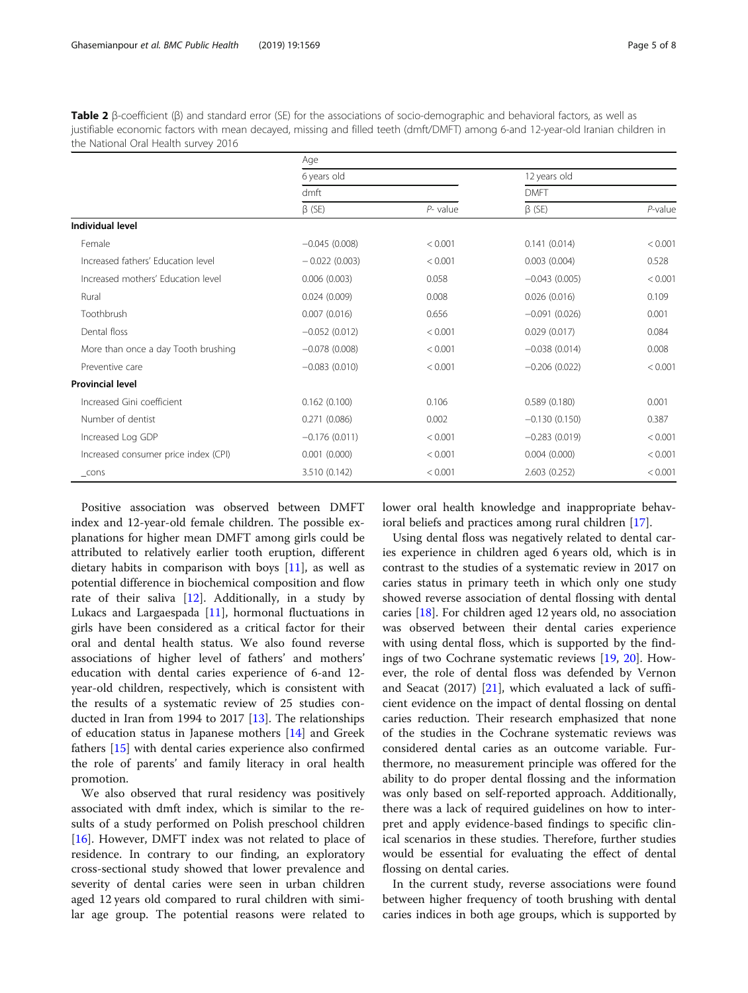<span id="page-4-0"></span>Table 2 β-coefficient (β) and standard error (SE) for the associations of socio-demographic and behavioral factors, as well as justifiable economic factors with mean decayed, missing and filled teeth (dmft/DMFT) among 6-and 12-year-old Iranian children in the National Oral Health survey 2016

|                                      | Age             |            |                 |            |  |  |  |  |
|--------------------------------------|-----------------|------------|-----------------|------------|--|--|--|--|
|                                      | 6 years old     |            | 12 years old    |            |  |  |  |  |
|                                      | dmft            |            | <b>DMFT</b>     |            |  |  |  |  |
|                                      | $\beta$ (SE)    | $P-$ value | $\beta$ (SE)    | $P$ -value |  |  |  |  |
| <b>Individual level</b>              |                 |            |                 |            |  |  |  |  |
| Female                               | $-0.045(0.008)$ | < 0.001    | 0.141(0.014)    | < 0.001    |  |  |  |  |
| Increased fathers' Education level   | $-0.022(0.003)$ | < 0.001    | 0.003(0.004)    | 0.528      |  |  |  |  |
| Increased mothers' Education level   | 0.006(0.003)    | 0.058      | $-0.043(0.005)$ | < 0.001    |  |  |  |  |
| Rural                                | 0.024(0.009)    | 0.008      | 0.026(0.016)    | 0.109      |  |  |  |  |
| Toothbrush                           | 0.007(0.016)    | 0.656      | $-0.091(0.026)$ | 0.001      |  |  |  |  |
| Dental floss                         | $-0.052(0.012)$ | < 0.001    | 0.029(0.017)    | 0.084      |  |  |  |  |
| More than once a day Tooth brushing  | $-0.078(0.008)$ | < 0.001    | $-0.038(0.014)$ | 0.008      |  |  |  |  |
| Preventive care                      | $-0.083(0.010)$ | < 0.001    | $-0.206(0.022)$ | < 0.001    |  |  |  |  |
| <b>Provincial level</b>              |                 |            |                 |            |  |  |  |  |
| Increased Gini coefficient           | 0.162(0.100)    | 0.106      | 0.589(0.180)    | 0.001      |  |  |  |  |
| Number of dentist                    | 0.271(0.086)    | 0.002      | $-0.130(0.150)$ | 0.387      |  |  |  |  |
| Increased Log GDP                    | $-0.176(0.011)$ | < 0.001    | $-0.283(0.019)$ | < 0.001    |  |  |  |  |
| Increased consumer price index (CPI) | 0.001(0.000)    | < 0.001    | 0.004(0.000)    | < 0.001    |  |  |  |  |
| $\_cons$                             | 3.510 (0.142)   | < 0.001    | 2.603 (0.252)   | < 0.001    |  |  |  |  |

Positive association was observed between DMFT index and 12-year-old female children. The possible explanations for higher mean DMFT among girls could be attributed to relatively earlier tooth eruption, different dietary habits in comparison with boys  $[11]$  $[11]$ , as well as potential difference in biochemical composition and flow rate of their saliva  $[12]$ . Additionally, in a study by Lukacs and Largaespada [\[11](#page-6-0)], hormonal fluctuations in girls have been considered as a critical factor for their oral and dental health status. We also found reverse associations of higher level of fathers' and mothers' education with dental caries experience of 6-and 12 year-old children, respectively, which is consistent with the results of a systematic review of 25 studies conducted in Iran from 1994 to 2017 [\[13\]](#page-6-0). The relationships of education status in Japanese mothers [\[14](#page-6-0)] and Greek fathers [[15\]](#page-6-0) with dental caries experience also confirmed the role of parents' and family literacy in oral health promotion.

We also observed that rural residency was positively associated with dmft index, which is similar to the results of a study performed on Polish preschool children [[16\]](#page-6-0). However, DMFT index was not related to place of residence. In contrary to our finding, an exploratory cross-sectional study showed that lower prevalence and severity of dental caries were seen in urban children aged 12 years old compared to rural children with similar age group. The potential reasons were related to lower oral health knowledge and inappropriate behavioral beliefs and practices among rural children [\[17](#page-6-0)].

Using dental floss was negatively related to dental caries experience in children aged 6 years old, which is in contrast to the studies of a systematic review in 2017 on caries status in primary teeth in which only one study showed reverse association of dental flossing with dental caries [\[18\]](#page-6-0). For children aged 12 years old, no association was observed between their dental caries experience with using dental floss, which is supported by the findings of two Cochrane systematic reviews [\[19,](#page-6-0) [20](#page-6-0)]. However, the role of dental floss was defended by Vernon and Seacat  $(2017)$  [[21\]](#page-6-0), which evaluated a lack of sufficient evidence on the impact of dental flossing on dental caries reduction. Their research emphasized that none of the studies in the Cochrane systematic reviews was considered dental caries as an outcome variable. Furthermore, no measurement principle was offered for the ability to do proper dental flossing and the information was only based on self-reported approach. Additionally, there was a lack of required guidelines on how to interpret and apply evidence-based findings to specific clinical scenarios in these studies. Therefore, further studies would be essential for evaluating the effect of dental flossing on dental caries.

In the current study, reverse associations were found between higher frequency of tooth brushing with dental caries indices in both age groups, which is supported by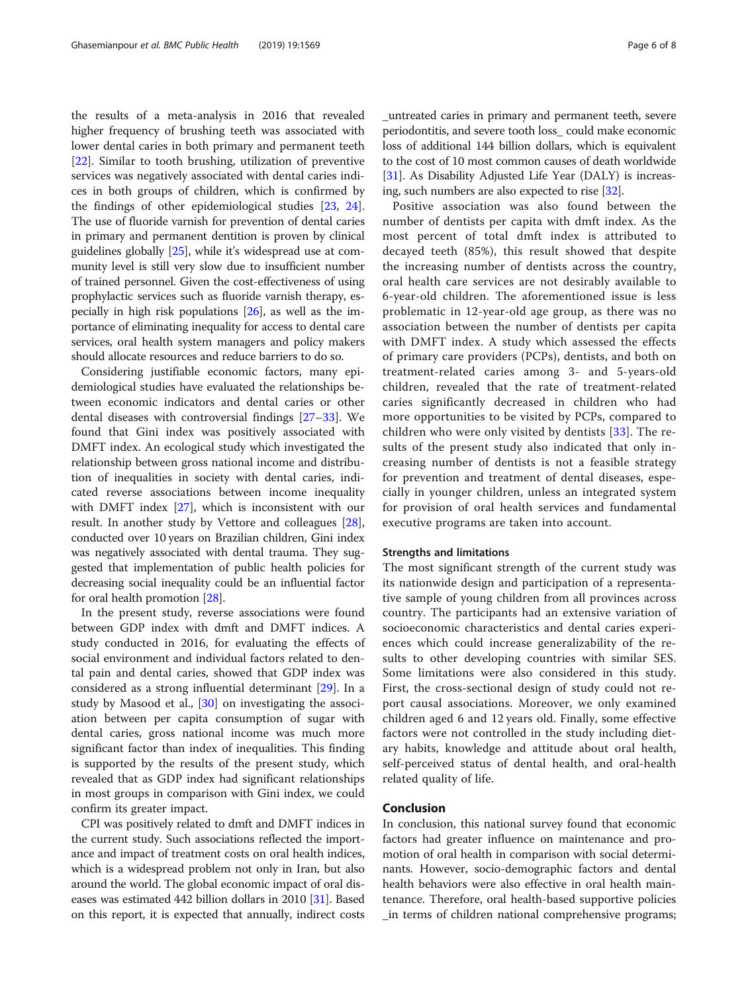the results of a meta-analysis in 2016 that revealed higher frequency of brushing teeth was associated with lower dental caries in both primary and permanent teeth [[22\]](#page-6-0). Similar to tooth brushing, utilization of preventive services was negatively associated with dental caries indices in both groups of children, which is confirmed by the findings of other epidemiological studies [\[23](#page-6-0), [24](#page-6-0)]. The use of fluoride varnish for prevention of dental caries in primary and permanent dentition is proven by clinical guidelines globally [\[25\]](#page-7-0), while it's widespread use at community level is still very slow due to insufficient number of trained personnel. Given the cost-effectiveness of using prophylactic services such as fluoride varnish therapy, especially in high risk populations [[26](#page-7-0)], as well as the importance of eliminating inequality for access to dental care services, oral health system managers and policy makers should allocate resources and reduce barriers to do so.

Considering justifiable economic factors, many epidemiological studies have evaluated the relationships between economic indicators and dental caries or other dental diseases with controversial findings [\[27](#page-7-0)–[33\]](#page-7-0). We found that Gini index was positively associated with DMFT index. An ecological study which investigated the relationship between gross national income and distribution of inequalities in society with dental caries, indicated reverse associations between income inequality with DMFT index [\[27](#page-7-0)], which is inconsistent with our result. In another study by Vettore and colleagues [\[28](#page-7-0)], conducted over 10 years on Brazilian children, Gini index was negatively associated with dental trauma. They suggested that implementation of public health policies for decreasing social inequality could be an influential factor for oral health promotion [[28](#page-7-0)].

In the present study, reverse associations were found between GDP index with dmft and DMFT indices. A study conducted in 2016, for evaluating the effects of social environment and individual factors related to dental pain and dental caries, showed that GDP index was considered as a strong influential determinant [\[29\]](#page-7-0). In a study by Masood et al., [[30\]](#page-7-0) on investigating the association between per capita consumption of sugar with dental caries, gross national income was much more significant factor than index of inequalities. This finding is supported by the results of the present study, which revealed that as GDP index had significant relationships in most groups in comparison with Gini index, we could confirm its greater impact.

CPI was positively related to dmft and DMFT indices in the current study. Such associations reflected the importance and impact of treatment costs on oral health indices, which is a widespread problem not only in Iran, but also around the world. The global economic impact of oral diseases was estimated 442 billion dollars in 2010 [[31](#page-7-0)]. Based on this report, it is expected that annually, indirect costs

\_untreated caries in primary and permanent teeth, severe periodontitis, and severe tooth loss\_ could make economic loss of additional 144 billion dollars, which is equivalent to the cost of 10 most common causes of death worldwide [[31](#page-7-0)]. As Disability Adjusted Life Year (DALY) is increasing, such numbers are also expected to rise [\[32\]](#page-7-0).

Positive association was also found between the number of dentists per capita with dmft index. As the most percent of total dmft index is attributed to decayed teeth (85%), this result showed that despite the increasing number of dentists across the country, oral health care services are not desirably available to 6-year-old children. The aforementioned issue is less problematic in 12-year-old age group, as there was no association between the number of dentists per capita with DMFT index. A study which assessed the effects of primary care providers (PCPs), dentists, and both on treatment-related caries among 3- and 5-years-old children, revealed that the rate of treatment-related caries significantly decreased in children who had more opportunities to be visited by PCPs, compared to children who were only visited by dentists [\[33\]](#page-7-0). The results of the present study also indicated that only increasing number of dentists is not a feasible strategy for prevention and treatment of dental diseases, especially in younger children, unless an integrated system for provision of oral health services and fundamental executive programs are taken into account.

#### Strengths and limitations

The most significant strength of the current study was its nationwide design and participation of a representative sample of young children from all provinces across country. The participants had an extensive variation of socioeconomic characteristics and dental caries experiences which could increase generalizability of the results to other developing countries with similar SES. Some limitations were also considered in this study. First, the cross-sectional design of study could not report causal associations. Moreover, we only examined children aged 6 and 12 years old. Finally, some effective factors were not controlled in the study including dietary habits, knowledge and attitude about oral health, self-perceived status of dental health, and oral-health related quality of life.

#### Conclusion

In conclusion, this national survey found that economic factors had greater influence on maintenance and promotion of oral health in comparison with social determinants. However, socio-demographic factors and dental health behaviors were also effective in oral health maintenance. Therefore, oral health-based supportive policies \_in terms of children national comprehensive programs;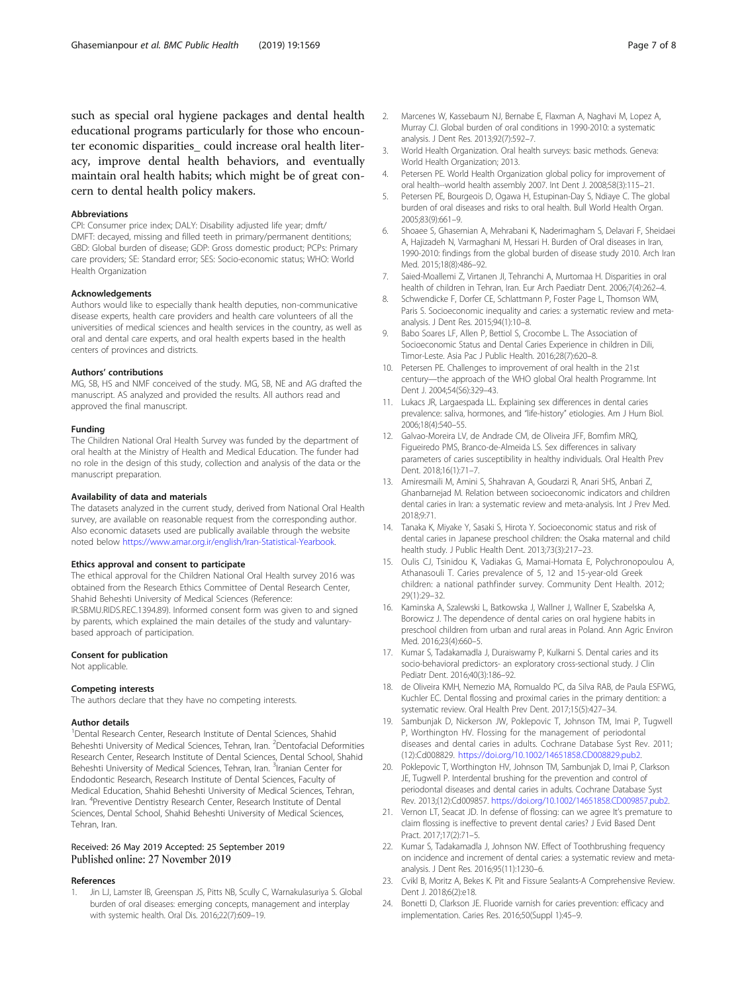<span id="page-6-0"></span>such as special oral hygiene packages and dental health educational programs particularly for those who encounter economic disparities\_ could increase oral health literacy, improve dental health behaviors, and eventually maintain oral health habits; which might be of great concern to dental health policy makers.

#### Abbreviations

CPI: Consumer price index; DALY: Disability adjusted life year; dmft/ DMFT: decayed, missing and filled teeth in primary/permanent dentitions; GBD: Global burden of disease; GDP: Gross domestic product; PCPs: Primary care providers; SE: Standard error; SES: Socio-economic status; WHO: World Health Organization

#### Acknowledgements

Authors would like to especially thank health deputies, non-communicative disease experts, health care providers and health care volunteers of all the universities of medical sciences and health services in the country, as well as oral and dental care experts, and oral health experts based in the health centers of provinces and districts.

#### Authors' contributions

MG, SB, HS and NMF conceived of the study. MG, SB, NE and AG drafted the manuscript. AS analyzed and provided the results. All authors read and approved the final manuscript.

#### Funding

The Children National Oral Health Survey was funded by the department of oral health at the Ministry of Health and Medical Education. The funder had no role in the design of this study, collection and analysis of the data or the manuscript preparation.

#### Availability of data and materials

The datasets analyzed in the current study, derived from National Oral Health survey, are available on reasonable request from the corresponding author. Also economic datasets used are publically available through the website noted below <https://www.amar.org.ir/english/Iran-Statistical-Yearbook>.

#### Ethics approval and consent to participate

The ethical approval for the Children National Oral Health survey 2016 was obtained from the Research Ethics Committee of Dental Research Center, Shahid Beheshti University of Medical Sciences (Reference: IR.SBMU.RIDS.REC.1394.89). Informed consent form was given to and signed by parents, which explained the main detailes of the study and valuntarybased approach of participation.

#### Consent for publication

Not applicable.

#### Competing interests

The authors declare that they have no competing interests.

#### Author details

<sup>1</sup> Dental Research Center, Research Institute of Dental Sciences, Shahid Beheshti University of Medical Sciences, Tehran, Iran. <sup>2</sup>Dentofacial Deformities Research Center, Research Institute of Dental Sciences, Dental School, Shahid Beheshti University of Medical Sciences, Tehran, Iran. <sup>3</sup>Iranian Center for Endodontic Research, Research Institute of Dental Sciences, Faculty of Medical Education, Shahid Beheshti University of Medical Sciences, Tehran, Iran. <sup>4</sup>Preventive Dentistry Research Center, Research Institute of Dental Sciences, Dental School, Shahid Beheshti University of Medical Sciences, Tehran, Iran.

#### Received: 26 May 2019 Accepted: 25 September 2019 Published online: 27 November 2019

#### References

Jin LJ, Lamster IB, Greenspan JS, Pitts NB, Scully C, Warnakulasuriya S. Global burden of oral diseases: emerging concepts, management and interplay with systemic health. Oral Dis. 2016;22(7):609–19.

- 3. World Health Organization. Oral health surveys: basic methods. Geneva: World Health Organization; 2013.
- 4. Petersen PE. World Health Organization global policy for improvement of oral health--world health assembly 2007. Int Dent J. 2008;58(3):115–21.
- 5. Petersen PE, Bourgeois D, Ogawa H, Estupinan-Day S, Ndiaye C. The global burden of oral diseases and risks to oral health. Bull World Health Organ. 2005;83(9):661–9.
- 6. Shoaee S, Ghasemian A, Mehrabani K, Naderimagham S, Delavari F, Sheidaei A, Hajizadeh N, Varmaghani M, Hessari H. Burden of Oral diseases in Iran, 1990-2010: findings from the global burden of disease study 2010. Arch Iran Med. 2015;18(8):486–92.
- 7. Saied-Moallemi Z, Virtanen JI, Tehranchi A, Murtomaa H. Disparities in oral health of children in Tehran, Iran. Eur Arch Paediatr Dent. 2006;7(4):262–4.
- 8. Schwendicke F, Dorfer CE, Schlattmann P, Foster Page L, Thomson WM, Paris S. Socioeconomic inequality and caries: a systematic review and metaanalysis. J Dent Res. 2015;94(1):10–8.
- 9. Babo Soares LF, Allen P, Bettiol S, Crocombe L. The Association of Socioeconomic Status and Dental Caries Experience in children in Dili, Timor-Leste. Asia Pac J Public Health. 2016;28(7):620–8.
- 10. Petersen PE. Challenges to improvement of oral health in the 21st century—the approach of the WHO global Oral health Programme. Int Dent J. 2004;54(S6):329–43.
- 11. Lukacs JR, Largaespada LL. Explaining sex differences in dental caries prevalence: saliva, hormones, and "life-history" etiologies. Am J Hum Biol. 2006;18(4):540–55.
- 12. Galvao-Moreira LV, de Andrade CM, de Oliveira JFF, Bomfim MRQ, Figueiredo PMS, Branco-de-Almeida LS. Sex differences in salivary parameters of caries susceptibility in healthy individuals. Oral Health Prev Dent. 2018;16(1):71–7.
- 13. Amiresmaili M, Amini S, Shahravan A, Goudarzi R, Anari SHS, Anbari Z, Ghanbarnejad M. Relation between socioeconomic indicators and children dental caries in Iran: a systematic review and meta-analysis. Int J Prev Med. 2018;9:71.
- 14. Tanaka K, Miyake Y, Sasaki S, Hirota Y. Socioeconomic status and risk of dental caries in Japanese preschool children: the Osaka maternal and child health study. J Public Health Dent. 2013;73(3):217–23.
- 15. Oulis CJ, Tsinidou K, Vadiakas G, Mamai-Homata E, Polychronopoulou A, Athanasouli T. Caries prevalence of 5, 12 and 15-year-old Greek children: a national pathfinder survey. Community Dent Health. 2012; 29(1):29–32.
- 16. Kaminska A, Szalewski L, Batkowska J, Wallner J, Wallner E, Szabelska A, Borowicz J. The dependence of dental caries on oral hygiene habits in preschool children from urban and rural areas in Poland. Ann Agric Environ Med. 2016;23(4):660–5.
- 17. Kumar S, Tadakamadla J, Duraiswamy P, Kulkarni S. Dental caries and its socio-behavioral predictors- an exploratory cross-sectional study. J Clin Pediatr Dent. 2016;40(3):186–92.
- 18. de Oliveira KMH, Nemezio MA, Romualdo PC, da Silva RAB, de Paula ESFWG, Kuchler EC. Dental flossing and proximal caries in the primary dentition: a systematic review. Oral Health Prev Dent. 2017;15(5):427–34.
- 19. Sambunjak D, Nickerson JW, Poklepovic T, Johnson TM, Imai P, Tugwell P, Worthington HV. Flossing for the management of periodontal diseases and dental caries in adults. Cochrane Database Syst Rev. 2011; (12):Cd008829. <https://doi.org/10.1002/14651858.CD008829.pub2>.
- 20. Poklepovic T, Worthington HV, Johnson TM, Sambunjak D, Imai P, Clarkson JE, Tugwell P. Interdental brushing for the prevention and control of periodontal diseases and dental caries in adults. Cochrane Database Syst Rev. 2013;(12):Cd009857. <https://doi.org/10.1002/14651858.CD009857.pub2>.
- 21. Vernon LT, Seacat JD. In defense of flossing: can we agree It's premature to claim flossing is ineffective to prevent dental caries? J Evid Based Dent Pract. 2017;17(2):71–5.
- 22. Kumar S, Tadakamadla J, Johnson NW. Effect of Toothbrushing frequency on incidence and increment of dental caries: a systematic review and metaanalysis. J Dent Res. 2016;95(11):1230–6.
- 23. Cvikl B, Moritz A, Bekes K. Pit and Fissure Sealants-A Comprehensive Review. Dent J. 2018;6(2):e18.
- 24. Bonetti D, Clarkson JE. Fluoride varnish for caries prevention: efficacy and implementation. Caries Res. 2016;50(Suppl 1):45–9.